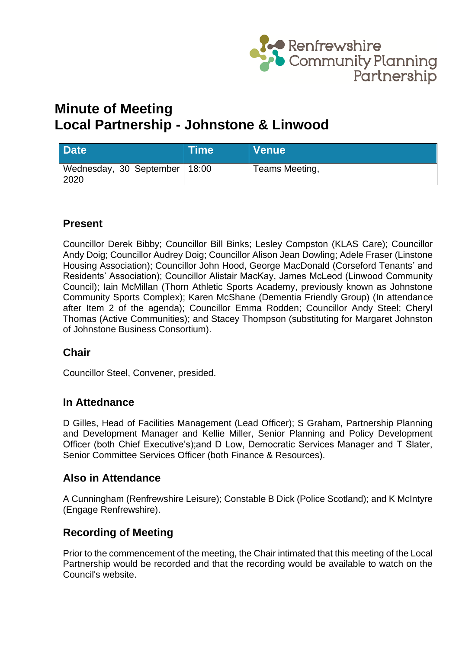

# **Minute of Meeting Local Partnership - Johnstone & Linwood**

| <b>Date</b>                             | <b>Time</b> | <b>Venue</b>   |
|-----------------------------------------|-------------|----------------|
| Wednesday, 30 September   18:00<br>2020 |             | Teams Meeting, |

# **Present**

Councillor Derek Bibby; Councillor Bill Binks; Lesley Compston (KLAS Care); Councillor Andy Doig; Councillor Audrey Doig; Councillor Alison Jean Dowling; Adele Fraser (Linstone Housing Association); Councillor John Hood, George MacDonald (Corseford Tenants' and Residents' Association); Councillor Alistair MacKay, James McLeod (Linwood Community Council); Iain McMillan (Thorn Athletic Sports Academy, previously known as Johnstone Community Sports Complex); Karen McShane (Dementia Friendly Group) (In attendance after Item 2 of the agenda); Councillor Emma Rodden; Councillor Andy Steel; Cheryl Thomas (Active Communities); and Stacey Thompson (substituting for Margaret Johnston of Johnstone Business Consortium).

## **Chair**

Councillor Steel, Convener, presided.

## **In Attednance**

D Gilles, Head of Facilities Management (Lead Officer); S Graham, Partnership Planning and Development Manager and Kellie Miller, Senior Planning and Policy Development Officer (both Chief Executive's);and D Low, Democratic Services Manager and T Slater, Senior Committee Services Officer (both Finance & Resources).

## **Also in Attendance**

A Cunningham (Renfrewshire Leisure); Constable B Dick (Police Scotland); and K McIntyre (Engage Renfrewshire).

## **Recording of Meeting**

Prior to the commencement of the meeting, the Chair intimated that this meeting of the Local Partnership would be recorded and that the recording would be available to watch on the Council's website.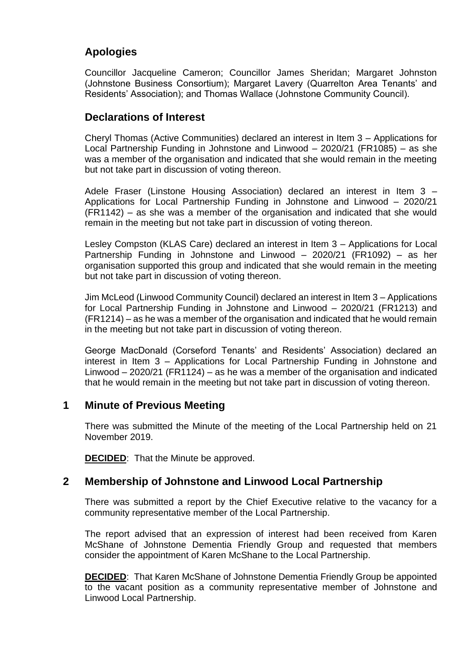# **Apologies**

Councillor Jacqueline Cameron; Councillor James Sheridan; Margaret Johnston (Johnstone Business Consortium); Margaret Lavery (Quarrelton Area Tenants' and Residents' Association); and Thomas Wallace (Johnstone Community Council).

# **Declarations of Interest**

Cheryl Thomas (Active Communities) declared an interest in Item 3 – Applications for Local Partnership Funding in Johnstone and Linwood – 2020/21 (FR1085) – as she was a member of the organisation and indicated that she would remain in the meeting but not take part in discussion of voting thereon.

Adele Fraser (Linstone Housing Association) declared an interest in Item 3 – Applications for Local Partnership Funding in Johnstone and Linwood – 2020/21 (FR1142) – as she was a member of the organisation and indicated that she would remain in the meeting but not take part in discussion of voting thereon.

Lesley Compston (KLAS Care) declared an interest in Item 3 – Applications for Local Partnership Funding in Johnstone and Linwood – 2020/21 (FR1092) – as her organisation supported this group and indicated that she would remain in the meeting but not take part in discussion of voting thereon.

Jim McLeod (Linwood Community Council) declared an interest in Item 3 – Applications for Local Partnership Funding in Johnstone and Linwood – 2020/21 (FR1213) and (FR1214) – as he was a member of the organisation and indicated that he would remain in the meeting but not take part in discussion of voting thereon.

George MacDonald (Corseford Tenants' and Residents' Association) declared an interest in Item 3 – Applications for Local Partnership Funding in Johnstone and Linwood – 2020/21 (FR1124) – as he was a member of the organisation and indicated that he would remain in the meeting but not take part in discussion of voting thereon.

## **1 Minute of Previous Meeting**

There was submitted the Minute of the meeting of the Local Partnership held on 21 November 2019.

**DECIDED**: That the Minute be approved.

## **2 Membership of Johnstone and Linwood Local Partnership**

There was submitted a report by the Chief Executive relative to the vacancy for a community representative member of the Local Partnership.

The report advised that an expression of interest had been received from Karen McShane of Johnstone Dementia Friendly Group and requested that members consider the appointment of Karen McShane to the Local Partnership.

**DECIDED:** That Karen McShane of Johnstone Dementia Friendly Group be appointed to the vacant position as a community representative member of Johnstone and Linwood Local Partnership.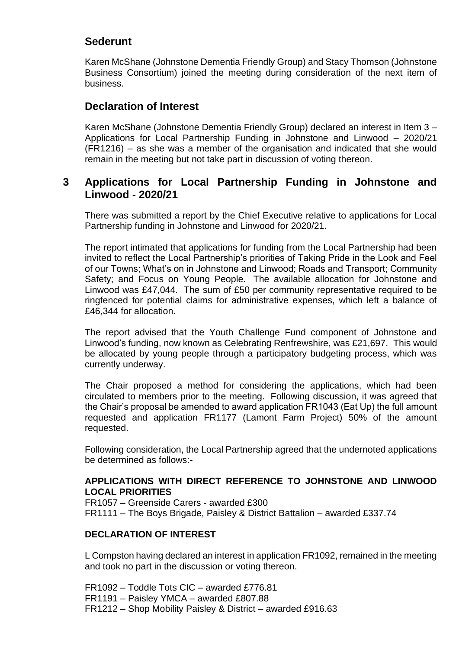# **Sederunt**

Karen McShane (Johnstone Dementia Friendly Group) and Stacy Thomson (Johnstone Business Consortium) joined the meeting during consideration of the next item of business.

### **Declaration of Interest**

Karen McShane (Johnstone Dementia Friendly Group) declared an interest in Item 3 – Applications for Local Partnership Funding in Johnstone and Linwood – 2020/21 (FR1216) – as she was a member of the organisation and indicated that she would remain in the meeting but not take part in discussion of voting thereon.

## **3 Applications for Local Partnership Funding in Johnstone and Linwood - 2020/21**

There was submitted a report by the Chief Executive relative to applications for Local Partnership funding in Johnstone and Linwood for 2020/21.

The report intimated that applications for funding from the Local Partnership had been invited to reflect the Local Partnership's priorities of Taking Pride in the Look and Feel of our Towns; What's on in Johnstone and Linwood; Roads and Transport; Community Safety; and Focus on Young People. The available allocation for Johnstone and Linwood was £47,044. The sum of £50 per community representative required to be ringfenced for potential claims for administrative expenses, which left a balance of £46,344 for allocation.

The report advised that the Youth Challenge Fund component of Johnstone and Linwood's funding, now known as Celebrating Renfrewshire, was £21,697. This would be allocated by young people through a participatory budgeting process, which was currently underway.

The Chair proposed a method for considering the applications, which had been circulated to members prior to the meeting. Following discussion, it was agreed that the Chair's proposal be amended to award application FR1043 (Eat Up) the full amount requested and application FR1177 (Lamont Farm Project) 50% of the amount requested.

Following consideration, the Local Partnership agreed that the undernoted applications be determined as follows:-

#### **APPLICATIONS WITH DIRECT REFERENCE TO JOHNSTONE AND LINWOOD LOCAL PRIORITIES**

FR1057 – Greenside Carers - awarded £300 FR1111 – The Boys Brigade, Paisley & District Battalion – awarded £337.74

### **DECLARATION OF INTEREST**

L Compston having declared an interest in application FR1092, remained in the meeting and took no part in the discussion or voting thereon.

FR1092 – Toddle Tots CIC – awarded £776.81 FR1191 – Paisley YMCA – awarded £807.88 FR1212 – Shop Mobility Paisley & District – awarded £916.63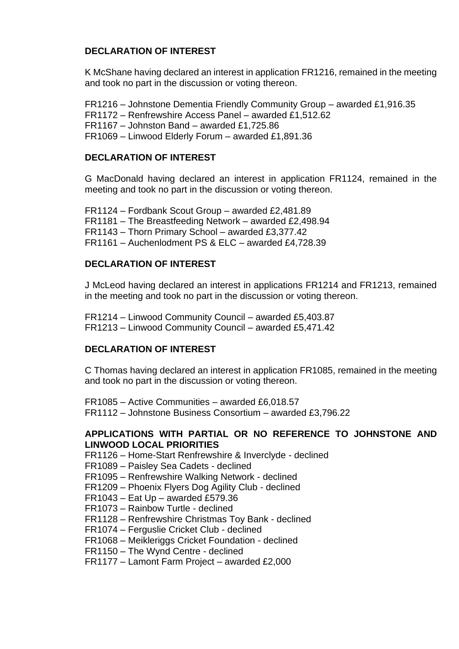### **DECLARATION OF INTEREST**

K McShane having declared an interest in application FR1216, remained in the meeting and took no part in the discussion or voting thereon.

FR1216 – Johnstone Dementia Friendly Community Group – awarded £1,916.35 FR1172 – Renfrewshire Access Panel – awarded £1,512.62 FR1167 – Johnston Band – awarded £1,725.86 FR1069 – Linwood Elderly Forum – awarded £1,891.36

### **DECLARATION OF INTEREST**

G MacDonald having declared an interest in application FR1124, remained in the meeting and took no part in the discussion or voting thereon.

FR1124 – Fordbank Scout Group – awarded £2,481.89 FR1181 – The Breastfeeding Network – awarded £2,498.94 FR1143 – Thorn Primary School – awarded £3,377.42 FR1161 – Auchenlodment PS & ELC – awarded £4,728.39

### **DECLARATION OF INTEREST**

J McLeod having declared an interest in applications FR1214 and FR1213, remained in the meeting and took no part in the discussion or voting thereon.

FR1214 – Linwood Community Council – awarded £5,403.87 FR1213 – Linwood Community Council – awarded £5,471.42

### **DECLARATION OF INTEREST**

C Thomas having declared an interest in application FR1085, remained in the meeting and took no part in the discussion or voting thereon.

FR1085 – Active Communities – awarded £6,018.57 FR1112 – Johnstone Business Consortium – awarded £3,796.22

#### **APPLICATIONS WITH PARTIAL OR NO REFERENCE TO JOHNSTONE AND LINWOOD LOCAL PRIORITIES**

FR1126 – Home-Start Renfrewshire & Inverclyde - declined

FR1089 – Paisley Sea Cadets - declined

FR1095 – Renfrewshire Walking Network - declined

FR1209 – Phoenix Flyers Dog Agility Club - declined

- FR1043 Eat Up awarded £579.36
- FR1073 Rainbow Turtle declined
- FR1128 Renfrewshire Christmas Toy Bank declined
- FR1074 Ferguslie Cricket Club declined
- FR1068 Meikleriggs Cricket Foundation declined
- FR1150 The Wynd Centre declined

FR1177 – Lamont Farm Project – awarded £2,000